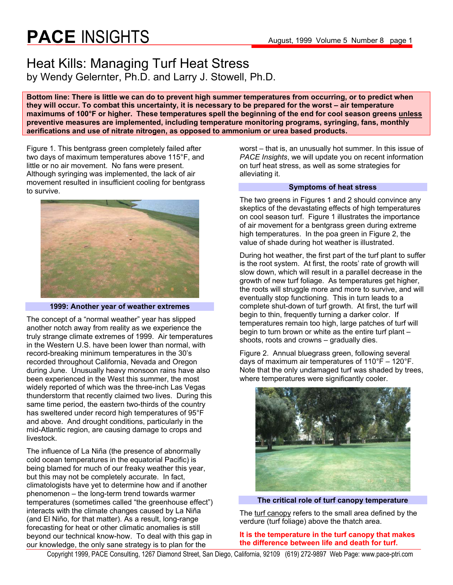### Heat Kills: Managing Turf Heat Stress by Wendy Gelernter, Ph.D. and Larry J. Stowell, Ph.D.

**Bottom line: There is little we can do to prevent high summer temperatures from occurring, or to predict when they will occur. To combat this uncertainty, it is necessary to be prepared for the worst – air temperature maximums of 100°F or higher. These temperatures spell the beginning of the end for cool season greens unless preventive measures are implemented, including temperature monitoring programs, syringing, fans, monthly aerifications and use of nitrate nitrogen, as opposed to ammonium or urea based products.** 

Figure 1. This bentgrass green completely failed after two days of maximum temperatures above 115°F, and little or no air movement. No fans were present. Although syringing was implemented, the lack of air movement resulted in insufficient cooling for bentgrass to survive.



#### **1999: Another year of weather extremes**

The concept of a "normal weather" year has slipped another notch away from reality as we experience the truly strange climate extremes of 1999. Air temperatures in the Western U.S. have been lower than normal, with record-breaking minimum temperatures in the 30's recorded throughout California, Nevada and Oregon during June. Unusually heavy monsoon rains have also been experienced in the West this summer, the most widely reported of which was the three-inch Las Vegas thunderstorm that recently claimed two lives. During this same time period, the eastern two-thirds of the country has sweltered under record high temperatures of 95°F and above. And drought conditions, particularly in the mid-Atlantic region, are causing damage to crops and livestock.

The influence of La Niña (the presence of abnormally cold ocean temperatures in the equatorial Pacific) is being blamed for much of our freaky weather this year, but this may not be completely accurate. In fact, climatologists have yet to determine how and if another phenomenon – the long-term trend towards warmer temperatures (sometimes called "the greenhouse effect") interacts with the climate changes caused by La Niña (and El Niño, for that matter). As a result, long-range forecasting for heat or other climatic anomalies is still beyond our technical know-how. To deal with this gap in our knowledge, the only sane strategy is to plan for the

worst – that is, an unusually hot summer. In this issue of *PACE Insights*, we will update you on recent information on turf heat stress, as well as some strategies for alleviating it.

#### **Symptoms of heat stress**

The two greens in Figures 1 and 2 should convince any skeptics of the devastating effects of high temperatures on cool season turf. Figure 1 illustrates the importance of air movement for a bentgrass green during extreme high temperatures. In the poa green in Figure 2, the value of shade during hot weather is illustrated.

During hot weather, the first part of the turf plant to suffer is the root system. At first, the roots' rate of growth will slow down, which will result in a parallel decrease in the growth of new turf foliage. As temperatures get higher, the roots will struggle more and more to survive, and will eventually stop functioning. This in turn leads to a complete shut-down of turf growth. At first, the turf will begin to thin, frequently turning a darker color. If temperatures remain too high, large patches of turf will begin to turn brown or white as the entire turf plant – shoots, roots and crowns – gradually dies.

Figure 2. Annual bluegrass green, following several days of maximum air temperatures of 110°F – 120°F. Note that the only undamaged turf was shaded by trees, where temperatures were significantly cooler.



**The critical role of turf canopy temperature** 

The turf canopy refers to the small area defined by the verdure (turf foliage) above the thatch area.

**It is the temperature in the turf canopy that makes the difference between life and death for turf.** 

Copyright 1999, PACE Consulting, 1267 Diamond Street, San Diego, California, 92109 (619) 272-9897 Web Page: www.pace-ptri.com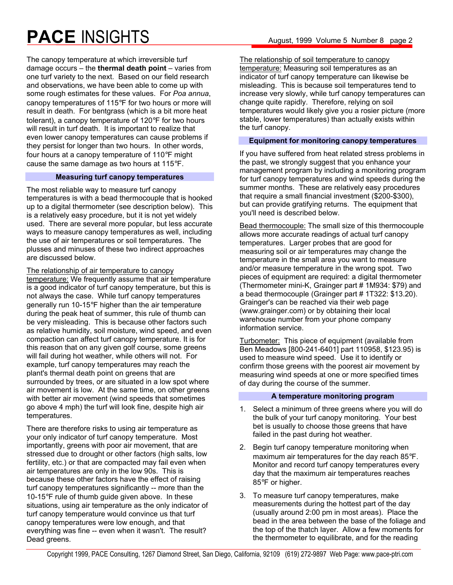The canopy temperature at which irreversible turf damage occurs – the **thermal death point** – varies from one turf variety to the next. Based on our field research and observations, we have been able to come up with some rough estimates for these values. For *Poa annua*, canopy temperatures of 115°F for two hours or more will result in death. For bentgrass (which is a bit more heat tolerant), a canopy temperature of 120°F for two hours will result in turf death. It is important to realize that even lower canopy temperatures can cause problems if they persist for longer than two hours. In other words, four hours at a canopy temperature of 110°F might

cause the same damage as two hours at 115°F.

#### **Measuring turf canopy temperatures**

The most reliable way to measure turf canopy temperatures is with a bead thermocouple that is hooked up to a digital thermometer (see description below). This is a relatively easy procedure, but it is not yet widely used. There are several more popular, but less accurate ways to measure canopy temperatures as well, including the use of air temperatures or soil temperatures. The plusses and minuses of these two indirect approaches are discussed below.

The relationship of air temperature to canopy temperature: We frequently assume that air temperature is a good indicator of turf canopy temperature, but this is not always the case. While turf canopy temperatures generally run 10-15°F higher than the air temperature during the peak heat of summer, this rule of thumb can be very misleading. This is because other factors such as relative humidity, soil moisture, wind speed, and even compaction can affect turf canopy temperature. It is for this reason that on any given golf course, some greens will fail during hot weather, while others will not. For example, turf canopy temperatures may reach the plant's thermal death point on greens that are surrounded by trees, or are situated in a low spot where air movement is low. At the same time, on other greens with better air movement (wind speeds that sometimes go above 4 mph) the turf will look fine, despite high air temperatures.

There are therefore risks to using air temperature as your only indicator of turf canopy temperature. Most importantly, greens with poor air movement, that are stressed due to drought or other factors (high salts, low fertility, etc.) or that are compacted may fail even when air temperatures are only in the low 90s. This is because these other factors have the effect of raising turf canopy temperatures significantly -- more than the 10-15°F rule of thumb guide given above. In these situations, using air temperature as the only indicator of turf canopy temperature would convince us that turf canopy temperatures were low enough, and that everything was fine -- even when it wasn't. The result? Dead greens.

The relationship of soil temperature to canopy temperature: Measuring soil temperatures as an indicator of turf canopy temperature can likewise be misleading. This is because soil temperatures tend to increase very slowly, while turf canopy temperatures can change quite rapidly. Therefore, relying on soil temperatures would likely give you a rosier picture (more stable, lower temperatures) than actually exists within the turf canopy.

#### **Equipment for monitoring canopy temperatures**

If you have suffered from heat related stress problems in the past, we strongly suggest that you enhance your management program by including a monitoring program for turf canopy temperatures and wind speeds during the summer months. These are relatively easy procedures that require a small financial investment (\$200-\$300), but can provide gratifying returns. The equipment that you'll need is described below.

Bead thermocouple: The small size of this thermocouple allows more accurate readings of actual turf canopy temperatures. Larger probes that are good for measuring soil or air temperatures may change the temperature in the small area you want to measure and/or measure temperature in the wrong spot. Two pieces of equipment are required: a digital thermometer (Thermometer mini-K, Grainger part # 1M934: \$79) and a bead thermocouple (Grainger part # 1T322: \$13.20). Grainger's can be reached via their web page (www.grainger.com) or by obtaining their local warehouse number from your phone company information service.

Turbometer: This piece of equipment (available from Ben Meadows [800-241-6401] part 110958, \$123.95) is used to measure wind speed. Use it to identify or confirm those greens with the poorest air movement by measuring wind speeds at one or more specified times of day during the course of the summer.

#### **A temperature monitoring program**

- 1. Select a minimum of three greens where you will do the bulk of your turf canopy monitoring. Your best bet is usually to choose those greens that have failed in the past during hot weather.
- 2. Begin turf canopy temperature monitoring when maximum air temperatures for the day reach 85°F. Monitor and record turf canopy temperatures every day that the maximum air temperatures reaches 85°F or higher.
- 3. To measure turf canopy temperatures, make measurements during the hottest part of the day (usually around 2:00 pm in most areas). Place the bead in the area between the base of the foliage and the top of the thatch layer. Allow a few moments for the thermometer to equilibrate, and for the reading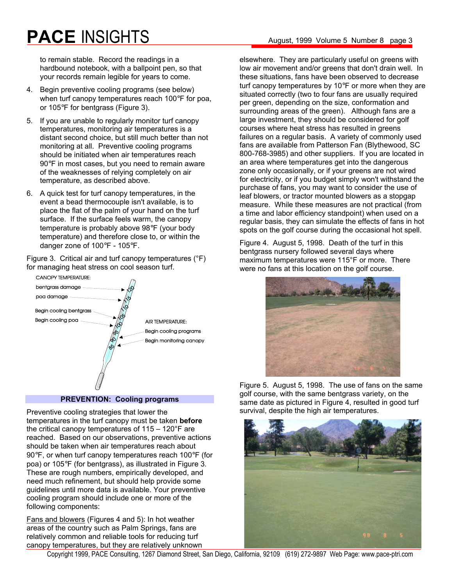to remain stable. Record the readings in a hardbound notebook, with a ballpoint pen, so that your records remain legible for years to come.

- 4. Begin preventive cooling programs (see below) when turf canopy temperatures reach 100°F for poa, or 105°F for bentgrass (Figure 3).
- 5. If you are unable to regularly monitor turf canopy temperatures, monitoring air temperatures is a distant second choice, but still much better than not monitoring at all. Preventive cooling programs should be initiated when air temperatures reach 90°F in most cases, but you need to remain aware of the weaknesses of relying completely on air temperature, as described above.
- 6. A quick test for turf canopy temperatures, in the event a bead thermocouple isn't available, is to place the flat of the palm of your hand on the turf surface. If the surface feels warm, the canopy temperature is probably above 98°F (your body temperature) and therefore close to, or within the danger zone of 100°F - 105°F.

Figure 3. Critical air and turf canopy temperatures (°F) for managing heat stress on cool season turf.



#### **PREVENTION: Cooling programs**

Preventive cooling strategies that lower the temperatures in the turf canopy must be taken **before**  the critical canopy temperatures of 115 – 120°F are reached. Based on our observations, preventive actions should be taken when air temperatures reach about 90°F, or when turf canopy temperatures reach 100°F (for poa) or 105°F (for bentgrass), as illustrated in Figure 3. These are rough numbers, empirically developed, and need much refinement, but should help provide some guidelines until more data is available. Your preventive cooling program should include one or more of the following components:

Fans and blowers (Figures 4 and 5): In hot weather areas of the country such as Palm Springs, fans are relatively common and reliable tools for reducing turf canopy temperatures, but they are relatively unknown

elsewhere. They are particularly useful on greens with low air movement and/or greens that don't drain well. In these situations, fans have been observed to decrease turf canopy temperatures by 10°F or more when they are situated correctly (two to four fans are usually required per green, depending on the size, conformation and surrounding areas of the green). Although fans are a large investment, they should be considered for golf courses where heat stress has resulted in greens failures on a regular basis. A variety of commonly used fans are available from Patterson Fan (Blythewood, SC 800-768-3985) and other suppliers. If you are located in an area where temperatures get into the dangerous zone only occasionally, or if your greens are not wired for electricity, or if you budget simply won't withstand the purchase of fans, you may want to consider the use of leaf blowers, or tractor mounted blowers as a stopgap measure. While these measures are not practical (from a time and labor efficiency standpoint) when used on a regular basis, they can simulate the effects of fans in hot spots on the golf course during the occasional hot spell.

Figure 4. August 5, 1998. Death of the turf in this bentgrass nursery followed several days where maximum temperatures were 115°F or more. There were no fans at this location on the golf course.



Figure 5. August 5, 1998. The use of fans on the same golf course, with the same bentgrass variety, on the same date as pictured in Figure 4, resulted in good turf survival, despite the high air temperatures.



Copyright 1999, PACE Consulting, 1267 Diamond Street, San Diego, California, 92109 (619) 272-9897 Web Page: www.pace-ptri.com